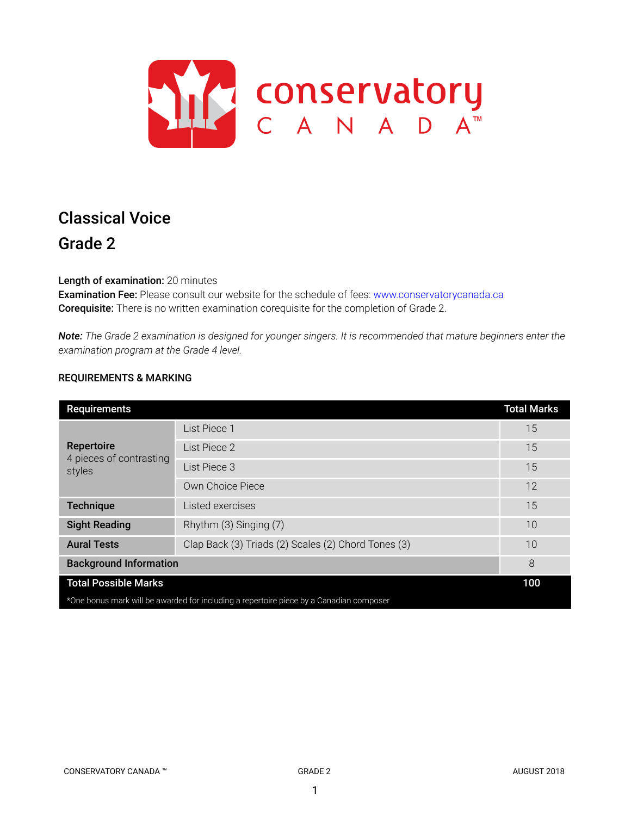

# Classical Voice Grade 2

Length of examination: 20 minutes

Examination Fee: Please consult our website for the schedule of fees: www.conservatorycanada.ca Corequisite: There is no written examination corequisite for the completion of Grade 2.

Note: The Grade 2 examination is designed for younger singers. It is recommended that mature beginners enter the *examination program at the Grade 4 level.*

# REQUIREMENTS & MARKING

| <b>Requirements</b>                                                                     |                                                     | <b>Total Marks</b> |
|-----------------------------------------------------------------------------------------|-----------------------------------------------------|--------------------|
| Repertoire<br>4 pieces of contrasting<br>styles                                         | List Piece 1                                        | 15                 |
|                                                                                         | List Piece 2                                        | 15                 |
|                                                                                         | List Piece 3                                        | 15                 |
|                                                                                         | Own Choice Piece                                    | 12                 |
| <b>Technique</b>                                                                        | Listed exercises                                    | 15                 |
| <b>Sight Reading</b>                                                                    | Rhythm (3) Singing (7)                              | 10                 |
| <b>Aural Tests</b>                                                                      | Clap Back (3) Triads (2) Scales (2) Chord Tones (3) | 10                 |
| <b>Background Information</b>                                                           |                                                     | 8                  |
| <b>Total Possible Marks</b>                                                             |                                                     | 100                |
| *One bonus mark will be awarded for including a repertoire piece by a Canadian composer |                                                     |                    |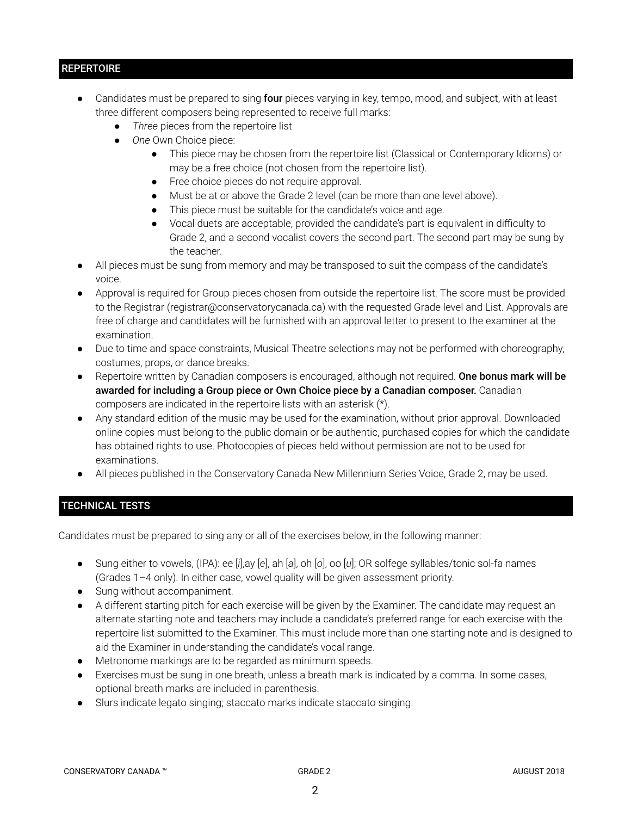# **REPERTOIRE**

- Candidates must be prepared to sing four pieces varying in key, tempo, mood, and subject, with at least three different composers being represented to receive full marks:
	- *Three* pieces from the repertoire list
	- *One* Own Choice piece:
		- This piece may be chosen from the repertoire list (Classical or Contemporary Idioms) or may be a free choice (not chosen from the repertoire list).
		- Free choice pieces do not require approval.
		- Must be at or above the Grade 2 level (can be more than one level above).
		- This piece must be suitable for the candidate's voice and age.
		- Vocal duets are acceptable, provided the candidate's part is equivalent in difficulty to Grade 2, and a second vocalist covers the second part. The second part may be sung by the teacher.
- All pieces must be sung from memory and may be transposed to suit the compass of the candidate's voice.
- Approval is required for Group pieces chosen from outside the repertoire list. The score must be provided to the Registrar (registrar@conservatorycanada.ca) with the requested Grade level and List. Approvals are free of charge and candidates will be furnished with an approval letter to present to the examiner at the examination.
- Due to time and space constraints, Musical Theatre selections may not be performed with choreography, costumes, props, or dance breaks.
- Repertoire written by Canadian composers is encouraged, although not required. One bonus mark will be awarded for including a Group piece or Own Choice piece by a Canadian composer. Canadian composers are indicated in the repertoire lists with an asterisk (\*).
- Any standard edition of the music may be used for the examination, without prior approval. Downloaded online copies must belong to the public domain or be authentic, purchased copies for which the candidate has obtained rights to use. Photocopies of pieces held without permission are not to be used for examinations.
- All pieces published in the Conservatory Canada New Millennium Series Voice, Grade 2, may be used.

# TECHNICAL TESTS

Candidates must be prepared to sing any or all of the exercises below, in the following manner:

- Sung either to vowels, (IPA): ee [*i*],ay [*e*], ah [*a*], oh [*o*], oo [*u*]; OR solfege syllables/tonic sol-fa names (Grades 1–4 only). In either case, vowel quality will be given assessment priority.
- Sung without accompaniment.
- A different starting pitch for each exercise will be given by the Examiner. The candidate may request an alternate starting note and teachers may include a candidate's preferred range for each exercise with the repertoire list submitted to the Examiner. This must include more than one starting note and is designed to aid the Examiner in understanding the candidate's vocal range.
- Metronome markings are to be regarded as minimum speeds.
- Exercises must be sung in one breath, unless a breath mark is indicated by a comma. In some cases, optional breath marks are included in parenthesis.
- Slurs indicate legato singing; staccato marks indicate staccato singing.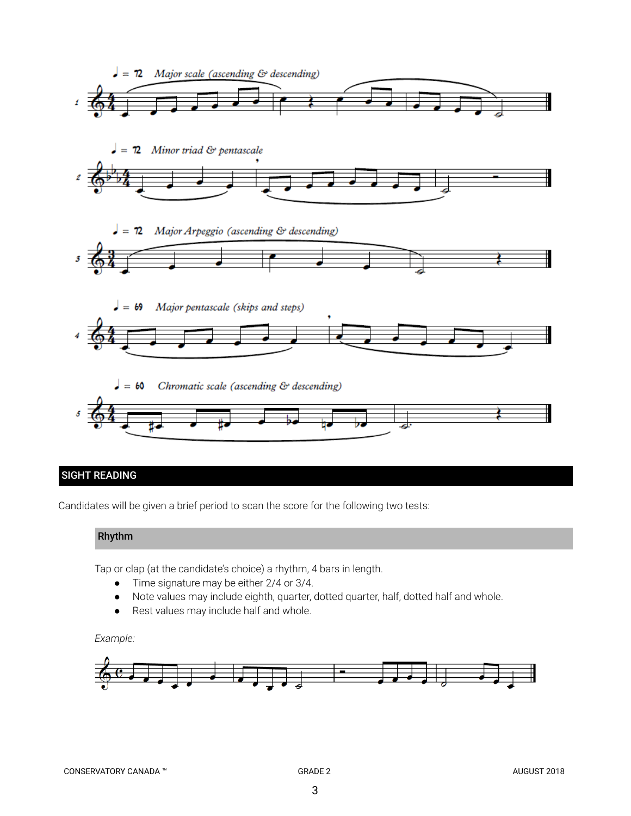

# SIGHT READING

Candidates will be given a brief period to scan the score for the following two tests:

# Rhythm

Tap or clap (at the candidate's choice) a rhythm, 4 bars in length.

- Time signature may be either 2/4 or 3/4.
- Note values may include eighth, quarter, dotted quarter, half, dotted half and whole.
- Rest values may include half and whole.

#### *Example:*

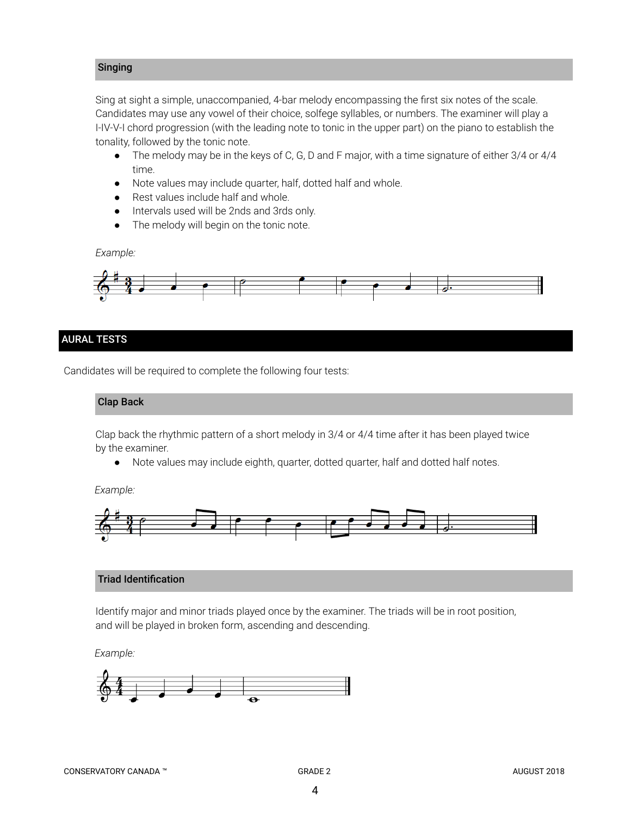# Singing

Sing at sight a simple, unaccompanied, 4-bar melody encompassing the first six notes of the scale. Candidates may use any vowel of their choice, solfege syllables, or numbers. The examiner will play a I-IV-V-I chord progression (with the leading note to tonic in the upper part) on the piano to establish the tonality, followed by the tonic note.

- *●* The melody may be in the keys of C, G, D and F major, with a time signature of either 3/4 or 4/4 time.
- Note values may include quarter, half, dotted half and whole.
- Rest values include half and whole.
- Intervals used will be 2nds and 3rds only.
- The melody will begin on the tonic note.

*Example:*



# AURAL TESTS

Candidates will be required to complete the following four tests:

#### Clap Back

Clap back the rhythmic pattern of a short melody in 3/4 or 4/4 time after it has been played twice by the examiner.

● Note values may include eighth, quarter, dotted quarter, half and dotted half notes.

*Example:*



# Triad Identification

Identify major and minor triads played once by the examiner. The triads will be in root position, and will be played in broken form, ascending and descending.

*Example:*

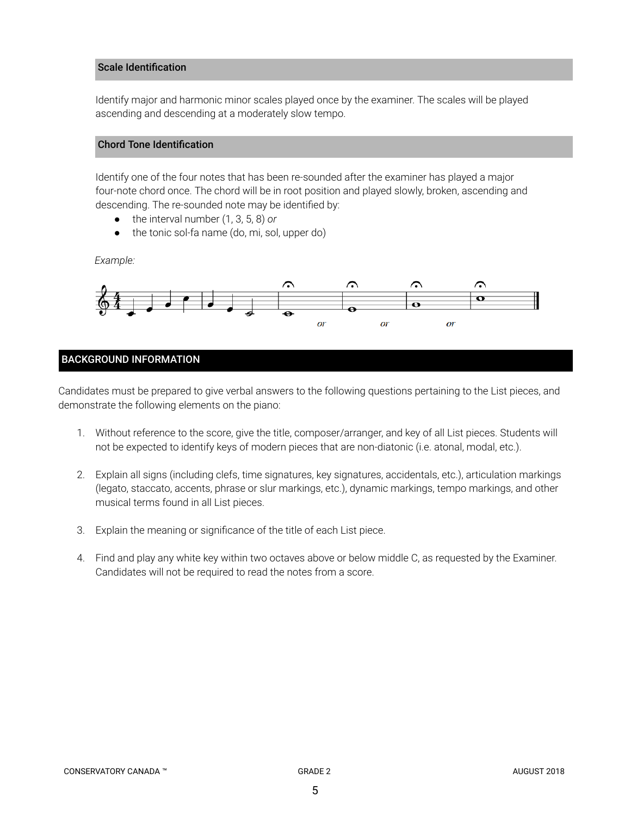#### Scale Identification

Identify major and harmonic minor scales played once by the examiner. The scales will be played ascending and descending at a moderately slow tempo.

# Chord Tone Identification

Identify one of the four notes that has been re-sounded after the examiner has played a major four-note chord once. The chord will be in root position and played slowly, broken, ascending and descending. The re-sounded note may be identified by:

- the interval number (1, 3, 5, 8) *or*
- the tonic sol-fa name (do, mi, sol, upper do)

*Example:*



# BACKGROUND INFORMATION

Candidates must be prepared to give verbal answers to the following questions pertaining to the List pieces, and demonstrate the following elements on the piano:

- 1. Without reference to the score, give the title, composer/arranger, and key of all List pieces. Students will not be expected to identify keys of modern pieces that are non-diatonic (i.e. atonal, modal, etc.).
- 2. Explain all signs (including clefs, time signatures, key signatures, accidentals, etc.), articulation markings (legato, staccato, accents, phrase or slur markings, etc.), dynamic markings, tempo markings, and other musical terms found in all List pieces.
- 3. Explain the meaning or significance of the title of each List piece.
- 4. Find and play any white key within two octaves above or below middle C, as requested by the Examiner. Candidates will not be required to read the notes from a score.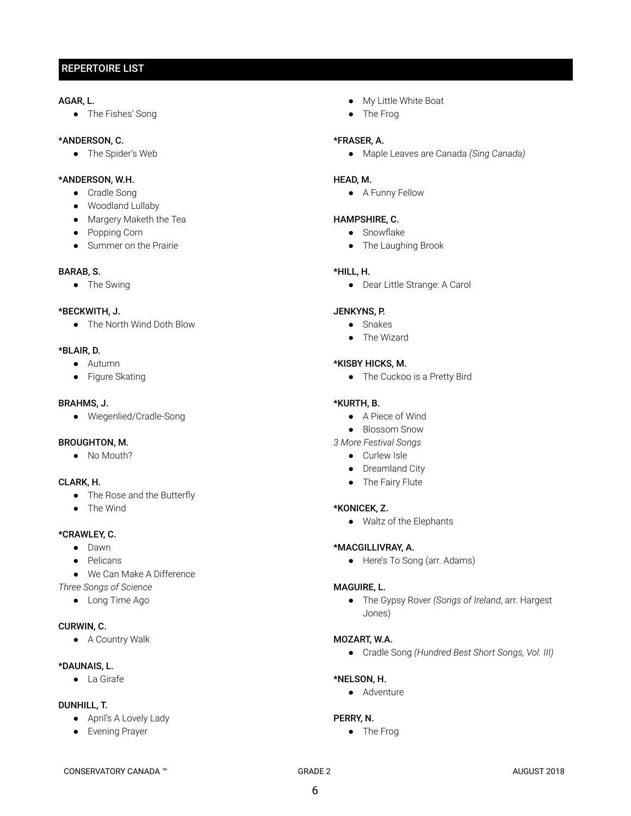# REPERTOIRE LIST

#### AGAR, L.

● The Fishes' Song

#### \*ANDERSON, C.

● The Spider's Web

#### \*ANDERSON, W.H.

- Cradle Song
- Woodland Lullaby
- Margery Maketh the Tea
- Popping Corn
- Summer on the Prairie

#### BARAB, S.

● The Swing

#### \*BECKWITH, J.

● The North Wind Doth Blow

#### \*BLAIR, D.

- Autumn
- Figure Skating

#### BRAHMS, J.

● Wiegenlied/Cradle-Song

#### BROUGHTON, M.

● No Mouth?

# CLARK, H.

- The Rose and the Butterfly
- The Wind

# \*CRAWLEY, C.

- Dawn
- Pelicans
- We Can Make A Difference

*Three Songs of Science*

● Long Time Ago

#### CURWIN, C.

● A Country Walk

#### \*DAUNAIS, L.

● La Girafe

#### DUNHILL, T.

- April's A Lovely Lady
- Evening Prayer
- My Little White Boat
- The Frog

#### \*FRASER, A.

● Maple Leaves are Canada *(Sing Canada)*

#### HEAD, M.

● A Funny Fellow

#### HAMPSHIRE, C.

- Snowflake
- The Laughing Brook

#### \*HILL, H.

● Dear Little Strange: A Carol

# JENKYNS, P.

- Snakes
- The Wizard

#### \*KISBY HICKS, M.

● The Cuckoo is a Pretty Bird

#### \*KURTH, B.

- A Piece of Wind
- Blossom Snow
- *3 More Festival Songs*
	- Curlew Isle
	- Dreamland City
	- The Fairy Flute

#### \*KONICEK, Z.

● Waltz of the Elephants

#### \*MACGILLIVRAY, A.

● Here's To Song (arr. Adams)

#### MAGUIRE, L.

● The Gypsy Rover *(Songs of Ireland* , arr. Hargest Jones)

#### MOZART, W.A.

● Cradle Song *(Hundred Best Short Songs, Vol. III)*

#### \*NELSON, H.

● Adventure

#### PERRY, N.

● The Frog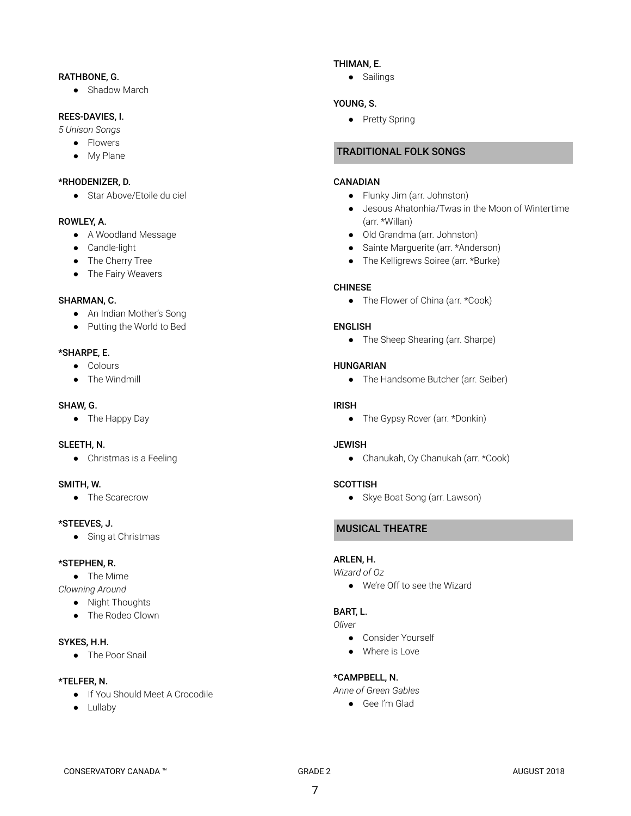#### RATHBONE, G.

• Shadow March

#### REES-DAVIES, I.

*5 Unison Songs*

- Flowers
- My Plane

### \*RHODENIZER, D.

● Star Above/Etoile du ciel

# ROWLEY, A.

- A Woodland Message
- Candle-light
- The Cherry Tree
- The Fairy Weavers

# SHARMAN, C.

- An Indian Mother's Song
- Putting the World to Bed

# \*SHARPE, E.

- Colours
- The Windmill

#### SHAW, G.

● The Happy Day

# SLEETH, N.

● Christmas is a Feeling

# SMITH, W.

● The Scarecrow

#### \*STEEVES, J.

● Sing at Christmas

#### \*STEPHEN, R.

- The Mime
- *Clowning Around*
	- Night Thoughts
	- The Rodeo Clown

# SYKES, H.H.

● The Poor Snail

#### \*TELFER, N.

- If You Should Meet A Crocodile
- Lullaby

# THIMAN, E.

● Sailings

# YOUNG, S.

● Pretty Spring

# TRADITIONAL FOLK SONGS

#### CANADIAN

- Flunky Jim (arr. Johnston)
- Jesous Ahatonhia/Twas in the Moon of Wintertime (arr. \*Willan)
- Old Grandma (arr. Johnston)
- Sainte Marguerite (arr. \*Anderson)
- The Kelligrews Soiree (arr. \*Burke)

# CHINESE

• The Flower of China (arr. \*Cook)

# ENGLISH

• The Sheep Shearing (arr. Sharpe)

# HUNGARIAN

● The Handsome Butcher (arr. Seiber)

#### IRISH

• The Gypsy Rover (arr. \*Donkin)

#### **JEWISH**

● Chanukah, Oy Chanukah (arr. \*Cook)

#### **SCOTTISH**

● Skye Boat Song (arr. Lawson)

# MUSICAL THEATRE

# ARLEN, H.

*Wizard of Oz*

● We're Off to see the Wizard

# BART, L.

## *Oliver*

- Consider Yourself
- Where is Love

# \*CAMPBELL, N.

*Anne of Green Gables*

● Gee I'm Glad